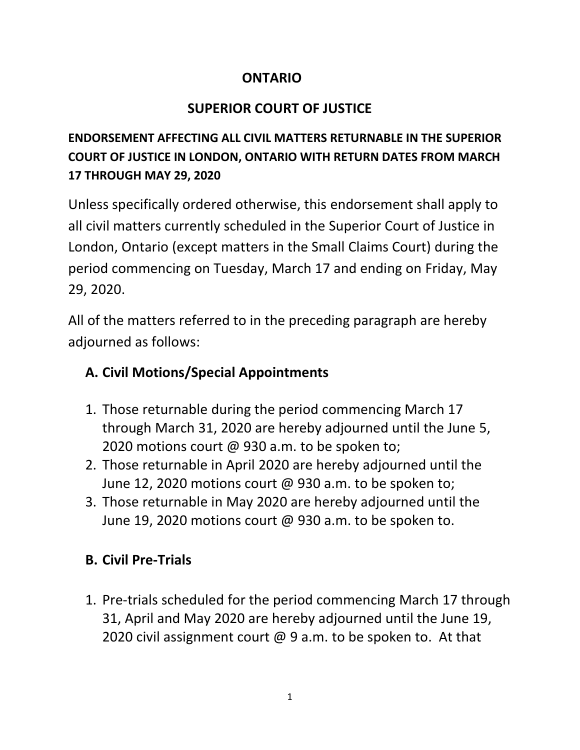#### **ONTARIO**

## **SUPERIOR COURT OF JUSTICE**

## **ENDORSEMENT AFFECTING ALL CIVIL MATTERS RETURNABLE IN THE SUPERIOR COURT OF JUSTICE IN LONDON, ONTARIO WITH RETURN DATES FROM MARCH 17 THROUGH MAY 29, 2020**

Unless specifically ordered otherwise, this endorsement shall apply to all civil matters currently scheduled in the Superior Court of Justice in London, Ontario (except matters in the Small Claims Court) during the period commencing on Tuesday, March 17 and ending on Friday, May 29, 2020.

All of the matters referred to in the preceding paragraph are hereby adjourned as follows:

## **A. Civil Motions/Special Appointments**

- 1. Those returnable during the period commencing March 17 through March 31, 2020 are hereby adjourned until the June 5, 2020 motions court @ 930 a.m. to be spoken to;
- 2. Those returnable in April 2020 are hereby adjourned until the June 12, 2020 motions court @ 930 a.m. to be spoken to;
- 3. Those returnable in May 2020 are hereby adjourned until the June 19, 2020 motions court @ 930 a.m. to be spoken to.

# **B. Civil Pre-Trials**

1. Pre-trials scheduled for the period commencing March 17 through 31, April and May 2020 are hereby adjourned until the June 19, 2020 civil assignment court @ 9 a.m. to be spoken to. At that